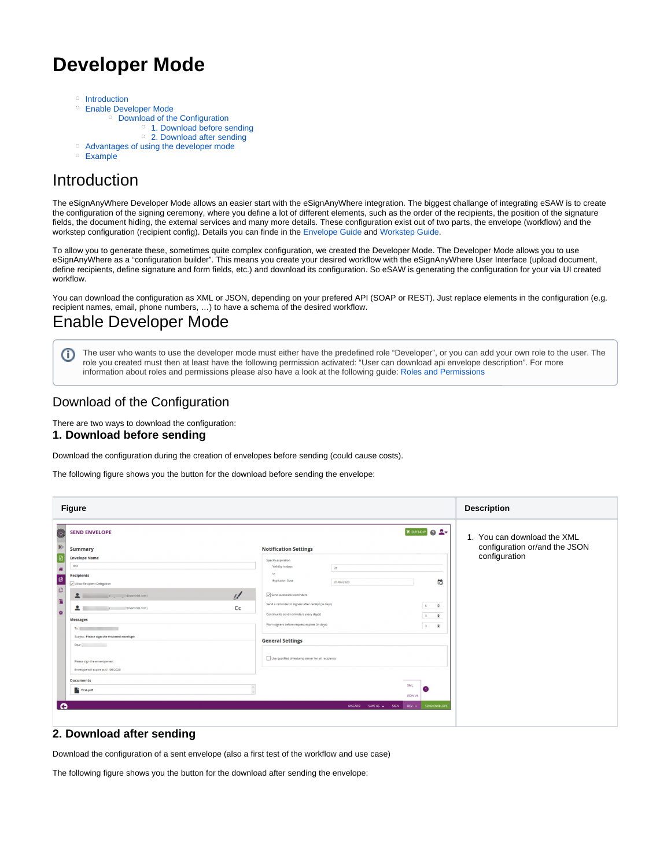# **Developer Mode**

- <sup>o</sup> [Introduction](#page-0-0)
- [Enable Developer Mode](#page-0-1)
	- <sup>o</sup> [Download of the Configuration](#page-0-2) <sup>o</sup> [1. Download before sending](#page-0-3)
		- [2. Download after sending](#page-0-4)
- [Advantages of using the developer mode](#page-1-0)
- [Example](#page-1-1)

# <span id="page-0-0"></span>Introduction

The eSignAnyWhere Developer Mode allows an easier start with the eSignAnyWhere integration. The biggest challange of integrating eSAW is to create the configuration of the signing ceremony, where you define a lot of different elements, such as the order of the recipients, the position of the signature fields, the document hiding, the external services and many more details. These configuration exist out of two parts, the envelope (workflow) and the workstep configuration (recipient config). Details you can finde in the [Envelope Guide](https://confluence.namirial.com/display/eSign/The+Envelope+XML) and [Workstep Guide.](https://confluence.namirial.com/display/eSign/The+Workstep+XML)

To allow you to generate these, sometimes quite complex configuration, we created the Developer Mode. The Developer Mode allows you to use eSignAnyWhere as a "configuration builder". This means you create your desired workflow with the eSignAnyWhere User Interface (upload document, define recipients, define signature and form fields, etc.) and download its configuration. So eSAW is generating the configuration for your via UI created workflow.

You can download the configuration as XML or JSON, depending on your prefered API (SOAP or REST). Just replace elements in the configuration (e.g. recipient names, email, phone numbers, …) to have a schema of the desired workflow.

### <span id="page-0-1"></span>Enable Developer Mode

The user who wants to use the developer mode must either have the predefined role "Developer", or you can add your own role to the user. The ω role you created must then at least have the following permission activated: "User can download api envelope description". For more information about roles and permissions please also have a look at the following guide: [Roles and Permissions](https://confluence.namirial.com/display/eSign/Roles+and+Permissions)

### <span id="page-0-2"></span>Download of the Configuration

There are two ways to download the configuration:

#### <span id="page-0-3"></span>**1. Download before sending**

Download the configuration during the creation of envelopes before sending (could cause costs).

The following figure shows you the button for the download before sending the envelope:

| <b>Figure</b>                                                                                                                                                                                                                                                                                                                                                                                                                                                                                                                                                                                                                                                                                             |                                                                                                                                                                                                                                                                                                                                                                                                                                                                                                                                                                                        | <b>Description</b>                                                            |
|-----------------------------------------------------------------------------------------------------------------------------------------------------------------------------------------------------------------------------------------------------------------------------------------------------------------------------------------------------------------------------------------------------------------------------------------------------------------------------------------------------------------------------------------------------------------------------------------------------------------------------------------------------------------------------------------------------------|----------------------------------------------------------------------------------------------------------------------------------------------------------------------------------------------------------------------------------------------------------------------------------------------------------------------------------------------------------------------------------------------------------------------------------------------------------------------------------------------------------------------------------------------------------------------------------------|-------------------------------------------------------------------------------|
| <b>SEND ENVELOPE</b><br>o<br><b>Summary</b><br><b>Envelope Name</b><br>test<br>Æ<br><b>Recipients</b><br>$\boldsymbol{\omega}$<br>Allow Recipient Delegation<br>ō<br>$\mathbf{L}$<br>$\overline{u}$<br>$\blacktriangle$<br>Сc<br>: @namirial.com)<br>$\bullet$<br><b>Messages</b><br>To:<br>Subject: Please sign the enclosed envelope<br>Dear and the contract of the contract of the contract of the contract of the contract of the contract of the contract of the contract of the contract of the contract of the contract of the contract of the contract of the c<br>Please sign the envelope test<br>Envelope will expire at 01/06/2020<br><b>Documents</b><br><sup>1</sup> Test.pdf<br>$\bullet$ | <b>R</b> BUT NOW 2<br><b>Notification Settings</b><br>Specify expiration<br>Validity in days<br>28<br>Of<br>简<br><b>Expiration Date</b><br>01/05/2020<br>Send automatic reminders<br>Send a reminder to signers after receipt (in days)<br>$5 \quad \blacksquare$<br>Continue to send reminders every day(s)<br>$3$ $\vert \bullet \vert$<br>Warn signers before request expires (in days)<br>$\bullet$<br>3<br><b>General Settings</b><br>Use qualified timestamp server for all recipients<br><b>XML</b><br>61<br>JSON V4<br>DEV . SEND ENVELOPE<br><b>DISCARD</b><br>SAVE AS A SIGN | 1. You can download the XML<br>configuration or/and the JSON<br>configuration |
|                                                                                                                                                                                                                                                                                                                                                                                                                                                                                                                                                                                                                                                                                                           |                                                                                                                                                                                                                                                                                                                                                                                                                                                                                                                                                                                        |                                                                               |

#### <span id="page-0-4"></span>**2. Download after sending**

Download the configuration of a sent envelope (also a first test of the workflow and use case)

The following figure shows you the button for the download after sending the envelope: